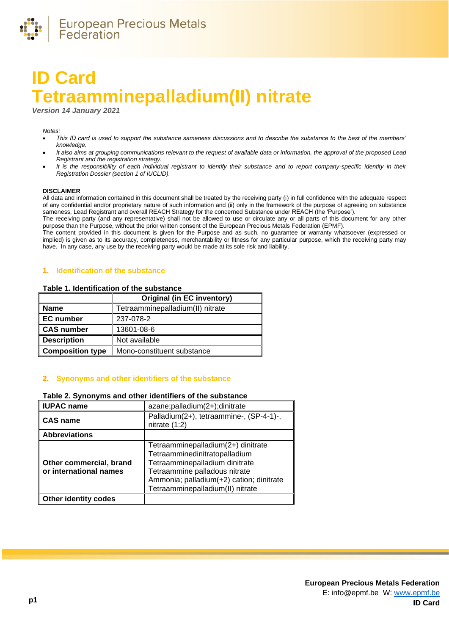

# **ID Card Tetraamminepalladium(II) nitrate**

*Version 14 January 2021*

#### *Notes:*

- *This ID card is used to support the substance sameness discussions and to describe the substance to the best of the members' knowledge.*
- *It also aims at grouping communications relevant to the request of available data or information, the approval of the proposed Lead Registrant and the registration strategy.*
- *It is the responsibility of each individual registrant to identify their substance and to report company-specific identity in their Registration Dossier (section 1 of IUCLID).*

#### **DISCLAIMER**

All data and information contained in this document shall be treated by the receiving party (i) in full confidence with the adequate respect of any confidential and/or proprietary nature of such information and (ii) only in the framework of the purpose of agreeing on substance sameness, Lead Registrant and overall REACH Strategy for the concerned Substance under REACH (the 'Purpose').

The receiving party (and any representative) shall not be allowed to use or circulate any or all parts of this document for any other purpose than the Purpose, without the prior written consent of the European Precious Metals Federation (EPMF).

The content provided in this document is given for the Purpose and as such, no guarantee or warranty whatsoever (expressed or implied) is given as to its accuracy, completeness, merchantability or fitness for any particular purpose, which the receiving party may have. In any case, any use by the receiving party would be made at its sole risk and liability.

# **1. Identification of the substance**

#### **Table 1. Identification of the substance**

|                         | <b>Original (in EC inventory)</b> |
|-------------------------|-----------------------------------|
| <b>Name</b>             | Tetraamminepalladium(II) nitrate  |
| <b>EC</b> number        | 237-078-2                         |
| <b>CAS number</b>       | 13601-08-6                        |
| <b>Description</b>      | Not available                     |
| <b>Composition type</b> | Mono-constituent substance        |

## **2. Synonyms and other identifiers of the substance**

# **Table 2. Synonyms and other identifiers of the substance**

| <b>IUPAC name</b>                                 | azane;palladium(2+);dinitrate                                                                                                                                                                                          |  |  |
|---------------------------------------------------|------------------------------------------------------------------------------------------------------------------------------------------------------------------------------------------------------------------------|--|--|
| <b>CAS name</b>                                   | Palladium(2+), tetraammine-, (SP-4-1)-,<br>nitrate $(1:2)$                                                                                                                                                             |  |  |
| <b>Abbreviations</b>                              |                                                                                                                                                                                                                        |  |  |
| Other commercial, brand<br>or international names | Tetraamminepalladium(2+) dinitrate<br>Tetraamminedinitratopalladium<br>Tetraamminepalladium dinitrate<br>Tetraammine palladous nitrate<br>Ammonia; palladium(+2) cation; dinitrate<br>Tetraamminepalladium(II) nitrate |  |  |
| <b>Other identity codes</b>                       |                                                                                                                                                                                                                        |  |  |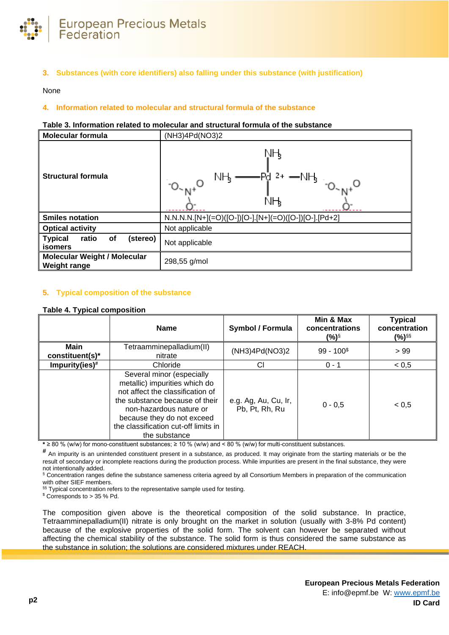

**3. Substances (with core identifiers) also falling under this substance (with justification)**

None

# **4. Information related to molecular and structural formula of the substance**

#### **Table 3. Information related to molecular and structural formula of the substance**

| <b>Molecular formula</b>                                    | (NH3)4Pd(NO3)2                                       |  |  |
|-------------------------------------------------------------|------------------------------------------------------|--|--|
| <b>Structural formula</b>                                   | ŅН<br>ΝH,<br>$O^{-N+}$<br>NН,                        |  |  |
| <b>Smiles notation</b>                                      | N.N.N.N.[N+](=O)([O-])[O-].[N+](=O)([O-])[O-].[Pd+2] |  |  |
| <b>Optical activity</b>                                     | Not applicable                                       |  |  |
| (stereo)<br><b>Typical</b><br>ratio<br>οf<br><b>isomers</b> | Not applicable                                       |  |  |
| <b>Molecular Weight / Molecular</b><br><b>Weight range</b>  | 298,55 g/mol                                         |  |  |

## **5. Typical composition of the substance**

#### <span id="page-1-0"></span>**Table 4. Typical composition**

|                                | <b>Name</b>                                                                                                                                                                                                                                        | <b>Symbol / Formula</b>                | Min & Max<br>concentrations<br>(%)§ | <b>Typical</b><br>concentration<br>(%) <sup>§§</sup> |
|--------------------------------|----------------------------------------------------------------------------------------------------------------------------------------------------------------------------------------------------------------------------------------------------|----------------------------------------|-------------------------------------|------------------------------------------------------|
| <b>Main</b><br>constituent(s)* | Tetraamminepalladium(II)<br>nitrate                                                                                                                                                                                                                | (NH3)4Pd(NO3)2                         | $99 - 1003$                         | > 99                                                 |
| Impurity(ies) $#$              | Chloride                                                                                                                                                                                                                                           | СI                                     | $0 - 1$                             | < 0, 5                                               |
|                                | Several minor (especially<br>metallic) impurities which do<br>not affect the classification of<br>the substance because of their<br>non-hazardous nature or<br>because they do not exceed<br>the classification cut-off limits in<br>the substance | e.g. Ag, Au, Cu, Ir,<br>Pb, Pt, Rh, Ru | $0 - 0.5$                           | < 0.5                                                |

**\*** ≥ 80 % (w/w) for mono-constituent substances; ≥ 10 % (w/w) and < 80 % (w/w) for multi-constituent substances.

**#** An impurity is an unintended constituent present in a substance, as produced. It may originate from the starting materials or be the result of secondary or incomplete reactions during the production process. While impurities are present in the final substance, they were not intentionally added.

§ Concentration ranges define the substance sameness criteria agreed by all Consortium Members in preparation of the communication with other SIEF members.

§§ Typical concentration refers to the representative sample used for testing.

 $$$  Corresponds to > 35 % Pd.

The composition given above is the theoretical composition of the solid substance. In practice, Tetraamminepalladium(II) nitrate is only brought on the market in solution (usually with 3-8% Pd content) because of the explosive properties of the solid form. The solvent can however be separated without affecting the chemical stability of the substance. The solid form is thus considered the same substance as the substance in solution; the solutions are considered mixtures under REACH.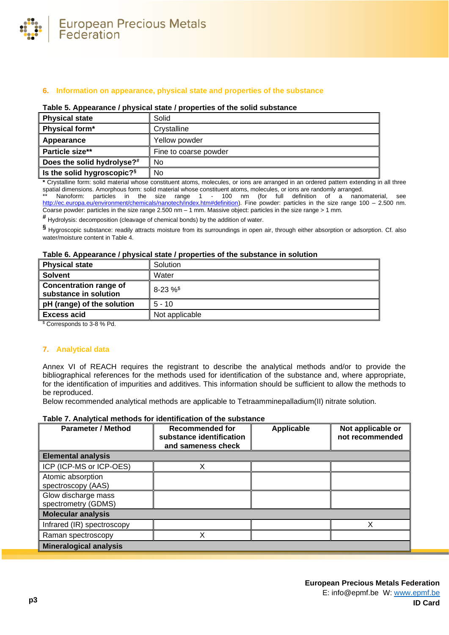

## **6. Information on appearance, physical state and properties of the substance**

#### **Table 5. Appearance / physical state / properties of the solid substance**

| <b>Physical state</b>                  | Solid                 |
|----------------------------------------|-----------------------|
| Physical form*                         | Crystalline           |
| Appearance                             | Yellow powder         |
| Particle size**                        | Fine to coarse powder |
| Does the solid hydrolyse? <sup>#</sup> | No                    |
| Is the solid hygroscopic? <sup>§</sup> | No                    |

**\*** Crystalline form: solid material whose constituent atoms, molecules, or ions are arranged in an ordered pattern extending in all three spatial dimensions. Amorphous form: solid material whose constituent atoms, molecules, or ions are randomly arranged.

Nanoform: particles in the size range 1 - 100 nm (for full definition of a nanomaterial, see [http://ec.europa.eu/environment/chemicals/nanotech/index.htm#definition\)](http://ec.europa.eu/environment/chemicals/nanotech/index.htm#definition). Fine powder: particles in the size range 100 – 2.500 nm. Coarse powder: particles in the size range 2.500 nm – 1 mm. Massive object: particles in the size range > 1 mm.

**#** Hydrolysis: decomposition (cleavage of chemical bonds) by the addition of water.

**§** Hygroscopic substance: readily attracts moisture from its surroundings in open air, through either absorption or adsorption. Cf. also water/moisture content i[n Table 4.](#page-1-0)

#### **Table 6. Appearance / physical state / properties of the substance in solution**

| <b>Physical state</b>                                                                                                                                                                                                                                                                            | Solution       |
|--------------------------------------------------------------------------------------------------------------------------------------------------------------------------------------------------------------------------------------------------------------------------------------------------|----------------|
| <b>Solvent</b>                                                                                                                                                                                                                                                                                   | Water          |
| <b>Concentration range of</b><br>substance in solution                                                                                                                                                                                                                                           | $8-23\%$       |
| pH (range) of the solution                                                                                                                                                                                                                                                                       | $5 - 10$       |
| <b>Excess acid</b>                                                                                                                                                                                                                                                                               | Not applicable |
| $\mathbb{R}$ and $\mathbb{R}$ and $\mathbb{R}$ and $\mathbb{R}$ and $\mathbb{R}$ and $\mathbb{R}$ and $\mathbb{R}$ and $\mathbb{R}$ and $\mathbb{R}$ and $\mathbb{R}$ and $\mathbb{R}$ and $\mathbb{R}$ and $\mathbb{R}$ and $\mathbb{R}$ and $\mathbb{R}$ and $\mathbb{R}$ and $\mathbb{R}$ and |                |

\$ Corresponds to 3-8 % Pd.

#### **7. Analytical data**

Annex VI of REACH requires the registrant to describe the analytical methods and/or to provide the bibliographical references for the methods used for identification of the substance and, where appropriate, for the identification of impurities and additives. This information should be sufficient to allow the methods to be reproduced.

Below recommended analytical methods are applicable to Tetraamminepalladium(II) nitrate solution.

# **Table 7. Analytical methods for identification of the substance**

| <b>Parameter / Method</b>                  | Recommended for<br>substance identification<br>and sameness check | <b>Applicable</b> | Not applicable or<br>not recommended |  |
|--------------------------------------------|-------------------------------------------------------------------|-------------------|--------------------------------------|--|
| <b>Elemental analysis</b>                  |                                                                   |                   |                                      |  |
| ICP (ICP-MS or ICP-OES)                    | v                                                                 |                   |                                      |  |
| Atomic absorption<br>spectroscopy (AAS)    |                                                                   |                   |                                      |  |
| Glow discharge mass<br>spectrometry (GDMS) |                                                                   |                   |                                      |  |
| <b>Molecular analysis</b>                  |                                                                   |                   |                                      |  |
| Infrared (IR) spectroscopy                 |                                                                   |                   |                                      |  |
| Raman spectroscopy                         | Χ                                                                 |                   |                                      |  |
| <b>Mineralogical analysis</b>              |                                                                   |                   |                                      |  |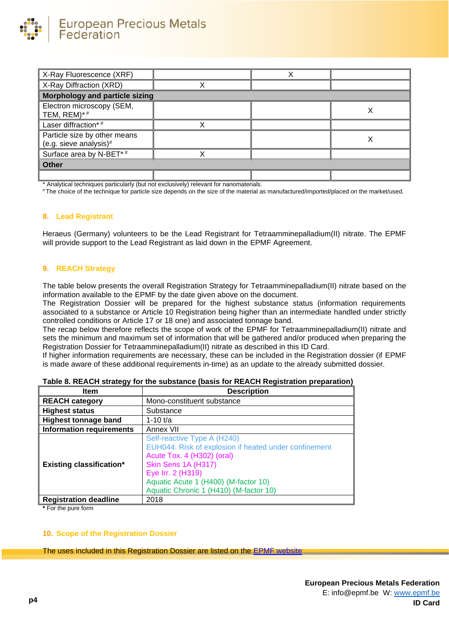

| X-Ray Fluorescence (XRF)                               |  |  |  |
|--------------------------------------------------------|--|--|--|
| X-Ray Diffraction (XRD)                                |  |  |  |
| <b>Morphology and particle sizing</b>                  |  |  |  |
| Electron microscopy (SEM,<br>TEM, REM)*#               |  |  |  |
| Laser diffraction*#                                    |  |  |  |
| Particle size by other means<br>(e.g. sieve analysis)# |  |  |  |
| Surface area by N-BET*#                                |  |  |  |
| <b>Other</b>                                           |  |  |  |
|                                                        |  |  |  |

\* Analytical techniques particularly (but not exclusively) relevant for nanomaterials.

# The choice of the technique for particle size depends on the size of the material as manufactured/imported/placed on the market/used.

#### **8. Lead Registrant**

Heraeus (Germany) volunteers to be the Lead Registrant for Tetraamminepalladium(II) nitrate. The EPMF will provide support to the Lead Registrant as laid down in the EPMF Agreement.

### **9. REACH Strategy**

The table below presents the overall Registration Strategy for Tetraamminepalladium(II) nitrate based on the information available to the EPMF by the date given above on the document.

The Registration Dossier will be prepared for the highest substance status (information requirements associated to a substance or Article 10 Registration being higher than an intermediate handled under strictly controlled conditions or Article 17 or 18 one) and associated tonnage band.

The recap below therefore reflects the scope of work of the EPMF for Tetraamminepalladium(II) nitrate and sets the minimum and maximum set of information that will be gathered and/or produced when preparing the Registration Dossier for Tetraamminepalladium(II) nitrate as described in this ID Card.

If higher information requirements are necessary, these can be included in the Registration dossier (if EPMF is made aware of these additional requirements in-time) as an update to the already submitted dossier.

| Item                            | <b>Description</b>                                                                                                                                                                                                                               |  |  |
|---------------------------------|--------------------------------------------------------------------------------------------------------------------------------------------------------------------------------------------------------------------------------------------------|--|--|
| REACH category                  | Mono-constituent substance                                                                                                                                                                                                                       |  |  |
| <b>Highest status</b>           | Substance                                                                                                                                                                                                                                        |  |  |
| <b>Highest tonnage band</b>     | 1-10 $t/a$                                                                                                                                                                                                                                       |  |  |
| Information requirements        | Annex VII                                                                                                                                                                                                                                        |  |  |
| <b>Existing classification*</b> | Self-reactive Type A (H240)<br>EUH044: Risk of explosion if heated under confinement<br>Acute Tox. 4 (H302) (oral)<br>Skin Sens 1A (H317)<br>Eye Irr. 2 (H319)<br>Aquatic Acute 1 (H400) (M-factor 10)<br>Aquatic Chronic 1 (H410) (M-factor 10) |  |  |
| Registration deadline           | 2018                                                                                                                                                                                                                                             |  |  |

| Table 8. REACH strategy for the substance (basis for REACH Registration preparation) |  |  |  |
|--------------------------------------------------------------------------------------|--|--|--|
|--------------------------------------------------------------------------------------|--|--|--|

**\*** For the pure form

#### **10. Scope of the Registration Dossier**

The uses included in this Registration Dossier are listed on the [EPMF website](https://www.epmf.be/)